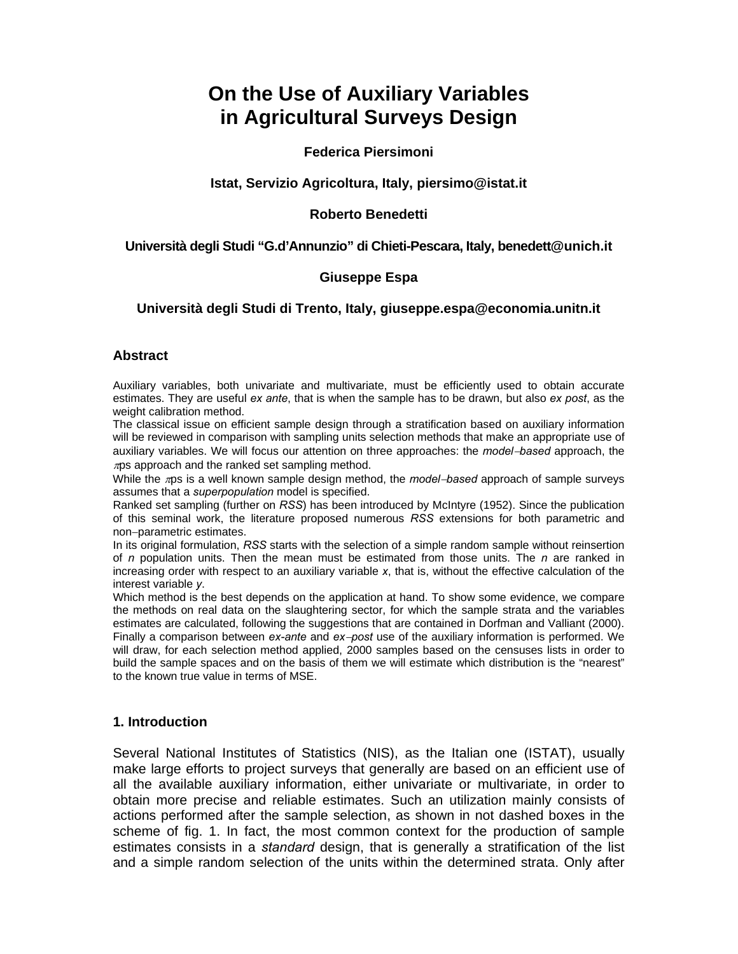# **On the Use of Auxiliary Variables in Agricultural Surveys Design**

# **Federica Piersimoni**

### **Istat, Servizio Agricoltura, Italy, piersimo@istat.it**

### **Roberto Benedetti**

## **Università degli Studi "G.d'Annunzio" di Chieti-Pescara, Italy, benedett@unich.it**

#### **Giuseppe Espa**

## **Università degli Studi di Trento, Italy, giuseppe.espa@economia.unitn.it**

#### **Abstract**

Auxiliary variables, both univariate and multivariate, must be efficiently used to obtain accurate estimates. They are useful *ex ante*, that is when the sample has to be drawn, but also *ex post*, as the weight calibration method.

The classical issue on efficient sample design through a stratification based on auxiliary information will be reviewed in comparison with sampling units selection methods that make an appropriate use of auxiliary variables. We will focus our attention on three approaches: the *model*−*based* approach, the  $\pi$ ps approach and the ranked set sampling method.

While the πps is a well known sample design method, the *model*−*based* approach of sample surveys assumes that a *superpopulation* model is specified.

Ranked set sampling (further on *RSS*) has been introduced by McIntyre (1952). Since the publication of this seminal work, the literature proposed numerous *RSS* extensions for both parametric and non−parametric estimates.

In its original formulation, *RSS* starts with the selection of a simple random sample without reinsertion of *n* population units. Then the mean must be estimated from those units. The *n* are ranked in increasing order with respect to an auxiliary variable *x*, that is, without the effective calculation of the interest variable *y*.

Which method is the best depends on the application at hand. To show some evidence, we compare the methods on real data on the slaughtering sector, for which the sample strata and the variables estimates are calculated, following the suggestions that are contained in Dorfman and Valliant (2000). Finally a comparison between *ex-ante* and *ex*−*post* use of the auxiliary information is performed. We will draw, for each selection method applied, 2000 samples based on the censuses lists in order to build the sample spaces and on the basis of them we will estimate which distribution is the "nearest" to the known true value in terms of MSE.

#### **1. Introduction**

Several National Institutes of Statistics (NIS), as the Italian one (ISTAT), usually make large efforts to project surveys that generally are based on an efficient use of all the available auxiliary information, either univariate or multivariate, in order to obtain more precise and reliable estimates. Such an utilization mainly consists of actions performed after the sample selection, as shown in not dashed boxes in the scheme of fig. 1. In fact, the most common context for the production of sample estimates consists in a *standard* design, that is generally a stratification of the list and a simple random selection of the units within the determined strata. Only after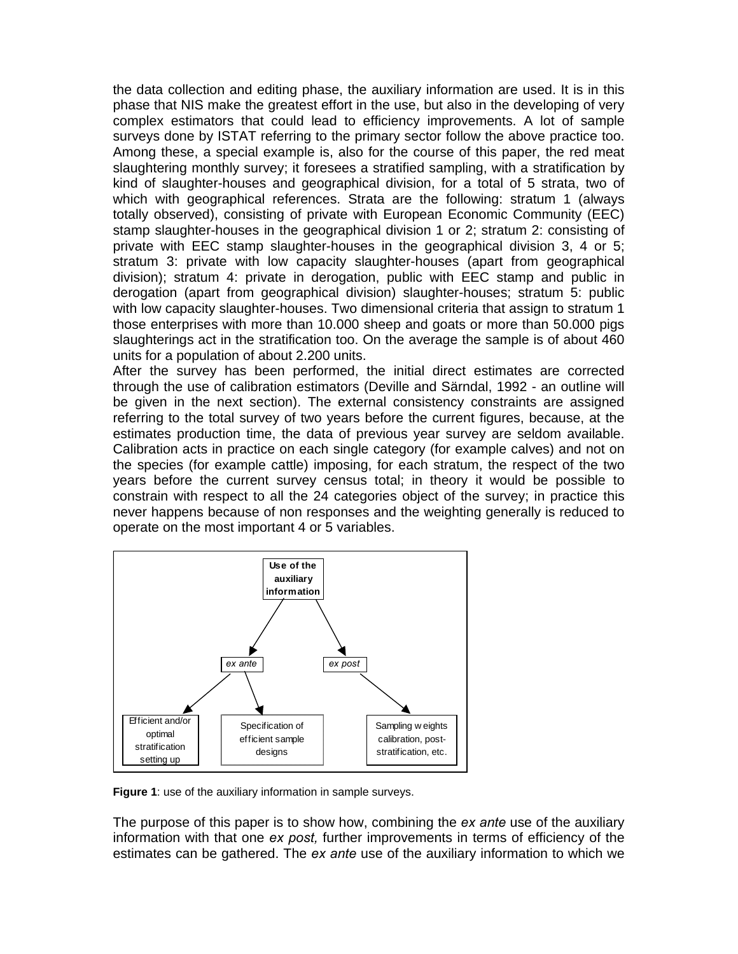the data collection and editing phase, the auxiliary information are used. It is in this phase that NIS make the greatest effort in the use, but also in the developing of very complex estimators that could lead to efficiency improvements. A lot of sample surveys done by ISTAT referring to the primary sector follow the above practice too. Among these, a special example is, also for the course of this paper, the red meat slaughtering monthly survey; it foresees a stratified sampling, with a stratification by kind of slaughter-houses and geographical division, for a total of 5 strata, two of which with geographical references. Strata are the following: stratum 1 (always totally observed), consisting of private with European Economic Community (EEC) stamp slaughter-houses in the geographical division 1 or 2; stratum 2: consisting of private with EEC stamp slaughter-houses in the geographical division 3, 4 or 5; stratum 3: private with low capacity slaughter-houses (apart from geographical division); stratum 4: private in derogation, public with EEC stamp and public in derogation (apart from geographical division) slaughter-houses; stratum 5: public with low capacity slaughter-houses. Two dimensional criteria that assign to stratum 1 those enterprises with more than 10.000 sheep and goats or more than 50.000 pigs slaughterings act in the stratification too. On the average the sample is of about 460 units for a population of about 2.200 units.

After the survey has been performed, the initial direct estimates are corrected through the use of calibration estimators (Deville and Särndal, 1992 - an outline will be given in the next section). The external consistency constraints are assigned referring to the total survey of two years before the current figures, because, at the estimates production time, the data of previous year survey are seldom available. Calibration acts in practice on each single category (for example calves) and not on the species (for example cattle) imposing, for each stratum, the respect of the two years before the current survey census total; in theory it would be possible to constrain with respect to all the 24 categories object of the survey; in practice this never happens because of non responses and the weighting generally is reduced to operate on the most important 4 or 5 variables.



**Figure 1**: use of the auxiliary information in sample surveys.

The purpose of this paper is to show how, combining the *ex ante* use of the auxiliary information with that one *ex post,* further improvements in terms of efficiency of the estimates can be gathered. The *ex ante* use of the auxiliary information to which we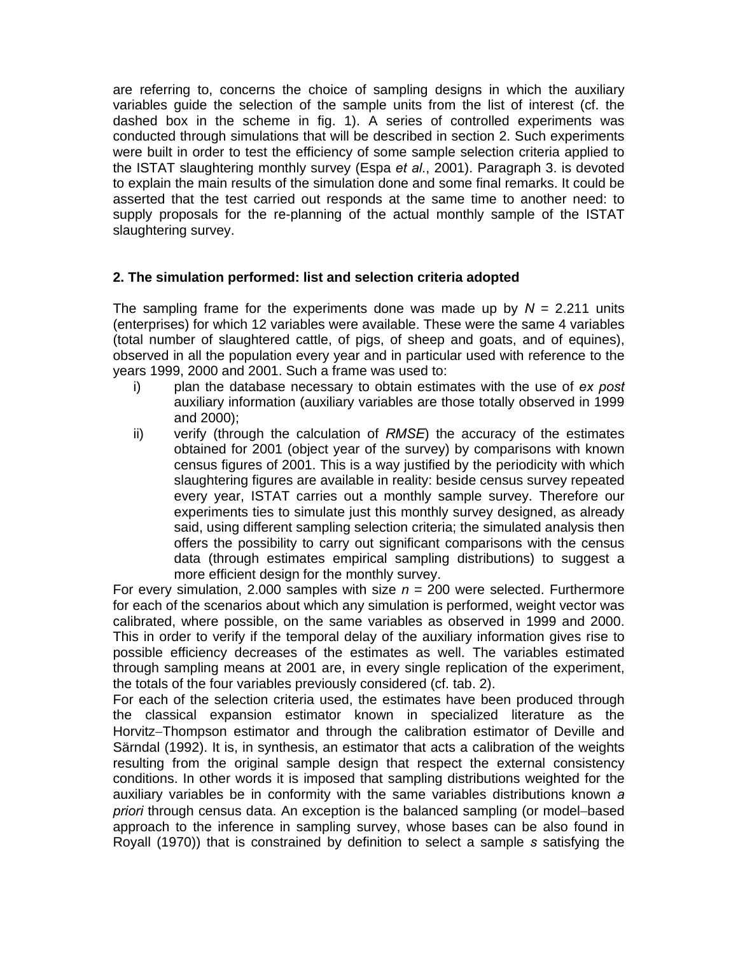are referring to, concerns the choice of sampling designs in which the auxiliary variables guide the selection of the sample units from the list of interest (cf. the dashed box in the scheme in fig. 1). A series of controlled experiments was conducted through simulations that will be described in section 2. Such experiments were built in order to test the efficiency of some sample selection criteria applied to the ISTAT slaughtering monthly survey (Espa *et al.*, 2001). Paragraph 3. is devoted to explain the main results of the simulation done and some final remarks. It could be asserted that the test carried out responds at the same time to another need: to supply proposals for the re-planning of the actual monthly sample of the ISTAT slaughtering survey.

# **2. The simulation performed: list and selection criteria adopted**

The sampling frame for the experiments done was made up by *N* = 2.211 units (enterprises) for which 12 variables were available. These were the same 4 variables (total number of slaughtered cattle, of pigs, of sheep and goats, and of equines), observed in all the population every year and in particular used with reference to the years 1999, 2000 and 2001. Such a frame was used to:

- i) plan the database necessary to obtain estimates with the use of *ex post* auxiliary information (auxiliary variables are those totally observed in 1999 and 2000);
- ii) verify (through the calculation of *RMSE*) the accuracy of the estimates obtained for 2001 (object year of the survey) by comparisons with known census figures of 2001. This is a way justified by the periodicity with which slaughtering figures are available in reality: beside census survey repeated every year, ISTAT carries out a monthly sample survey. Therefore our experiments ties to simulate just this monthly survey designed, as already said, using different sampling selection criteria; the simulated analysis then offers the possibility to carry out significant comparisons with the census data (through estimates empirical sampling distributions) to suggest a more efficient design for the monthly survey.

For every simulation, 2.000 samples with size  $n = 200$  were selected. Furthermore for each of the scenarios about which any simulation is performed, weight vector was calibrated, where possible, on the same variables as observed in 1999 and 2000. This in order to verify if the temporal delay of the auxiliary information gives rise to possible efficiency decreases of the estimates as well. The variables estimated through sampling means at 2001 are, in every single replication of the experiment, the totals of the four variables previously considered (cf. tab. 2).

For each of the selection criteria used, the estimates have been produced through the classical expansion estimator known in specialized literature as the Horvitz–Thompson estimator and through the calibration estimator of Deville and Särndal (1992). It is, in synthesis, an estimator that acts a calibration of the weights resulting from the original sample design that respect the external consistency conditions. In other words it is imposed that sampling distributions weighted for the auxiliary variables be in conformity with the same variables distributions known *a priori* through census data. An exception is the balanced sampling (or model−based approach to the inference in sampling survey, whose bases can be also found in Royall (1970)) that is constrained by definition to select a sample *s* satisfying the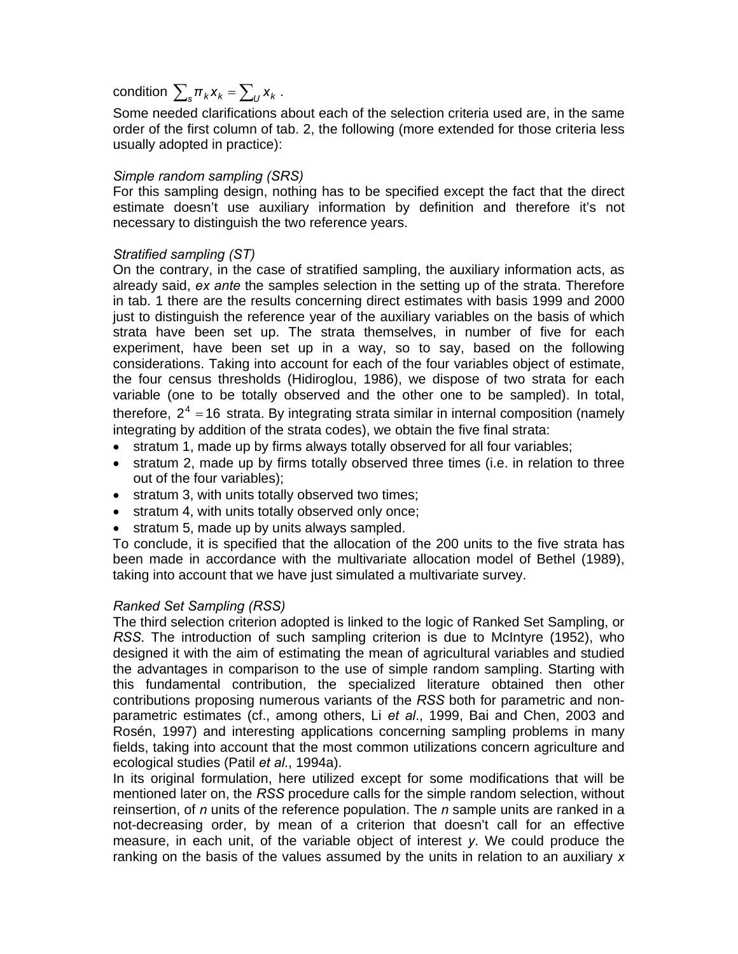condition  $\sum_{k} \pi_k x_k = \sum_{l} x_k$ .

Some needed clarifications about each of the selection criteria used are, in the same order of the first column of tab. 2, the following (more extended for those criteria less usually adopted in practice):

# *Simple random sampling (SRS)*

For this sampling design, nothing has to be specified except the fact that the direct estimate doesn't use auxiliary information by definition and therefore it's not necessary to distinguish the two reference years.

## *Stratified sampling (ST)*

On the contrary, in the case of stratified sampling, the auxiliary information acts, as already said, *ex ante* the samples selection in the setting up of the strata. Therefore in tab. 1 there are the results concerning direct estimates with basis 1999 and 2000 just to distinguish the reference year of the auxiliary variables on the basis of which strata have been set up. The strata themselves, in number of five for each experiment, have been set up in a way, so to say, based on the following considerations. Taking into account for each of the four variables object of estimate, the four census thresholds (Hidiroglou, 1986), we dispose of two strata for each variable (one to be totally observed and the other one to be sampled). In total, therefore,  $2^4 = 16$  strata. By integrating strata similar in internal composition (namely integrating by addition of the strata codes), we obtain the five final strata:

- stratum 1, made up by firms always totally observed for all four variables;
- stratum 2, made up by firms totally observed three times (i.e. in relation to three out of the four variables);
- stratum 3, with units totally observed two times;
- stratum 4, with units totally observed only once;
- stratum 5, made up by units always sampled.

To conclude, it is specified that the allocation of the 200 units to the five strata has been made in accordance with the multivariate allocation model of Bethel (1989), taking into account that we have just simulated a multivariate survey.

#### *Ranked Set Sampling (RSS)*

The third selection criterion adopted is linked to the logic of Ranked Set Sampling, or *RSS*. The introduction of such sampling criterion is due to McIntyre (1952), who designed it with the aim of estimating the mean of agricultural variables and studied the advantages in comparison to the use of simple random sampling. Starting with this fundamental contribution, the specialized literature obtained then other contributions proposing numerous variants of the *RSS* both for parametric and nonparametric estimates (cf., among others, Li *et al*., 1999, Bai and Chen, 2003 and Rosén, 1997) and interesting applications concerning sampling problems in many fields, taking into account that the most common utilizations concern agriculture and ecological studies (Patil *et al.*, 1994a).

In its original formulation, here utilized except for some modifications that will be mentioned later on, the *RSS* procedure calls for the simple random selection, without reinsertion, of *n* units of the reference population. The *n* sample units are ranked in a not-decreasing order, by mean of a criterion that doesn't call for an effective measure, in each unit, of the variable object of interest *y*. We could produce the ranking on the basis of the values assumed by the units in relation to an auxiliary *x*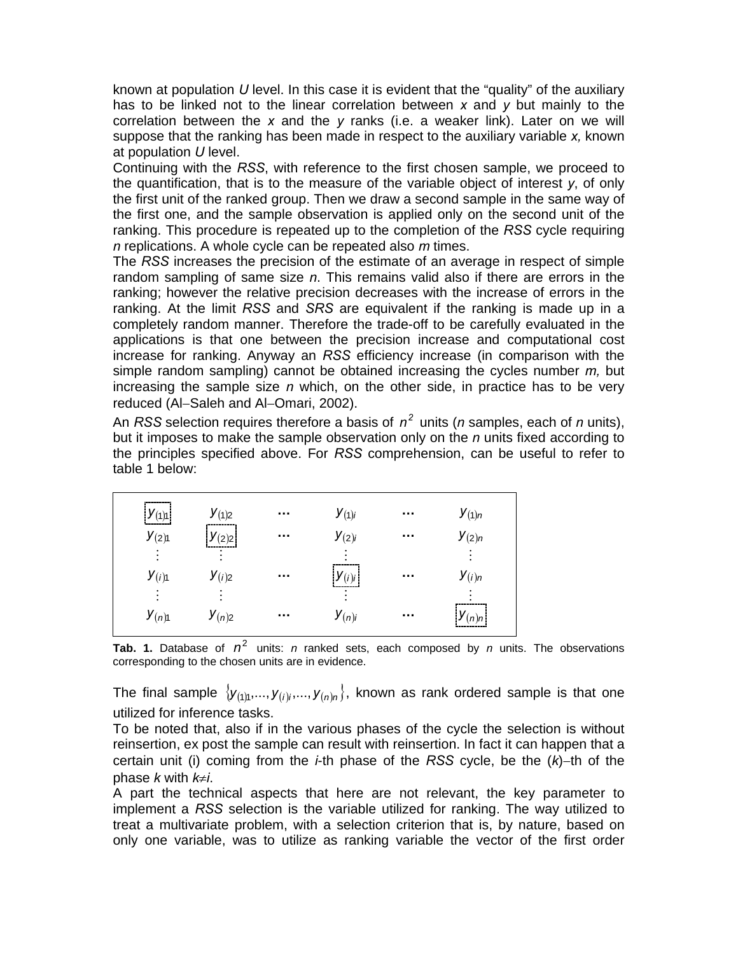known at population *U* level. In this case it is evident that the "quality" of the auxiliary has to be linked not to the linear correlation between *x* and *y* but mainly to the correlation between the *x* and the *y* ranks (i.e. a weaker link). Later on we will suppose that the ranking has been made in respect to the auxiliary variable *x,* known at population *U* level.

Continuing with the *RSS*, with reference to the first chosen sample, we proceed to the quantification, that is to the measure of the variable object of interest *y*, of only the first unit of the ranked group. Then we draw a second sample in the same way of the first one, and the sample observation is applied only on the second unit of the ranking. This procedure is repeated up to the completion of the *RSS* cycle requiring *n* replications. A whole cycle can be repeated also *m* times.

The *RSS* increases the precision of the estimate of an average in respect of simple random sampling of same size *n*. This remains valid also if there are errors in the ranking; however the relative precision decreases with the increase of errors in the ranking. At the limit *RSS* and *SRS* are equivalent if the ranking is made up in a completely random manner. Therefore the trade-off to be carefully evaluated in the applications is that one between the precision increase and computational cost increase for ranking. Anyway an *RSS* efficiency increase (in comparison with the simple random sampling) cannot be obtained increasing the cycles number *m,* but increasing the sample size *n* which, on the other side, in practice has to be very reduced (Al−Saleh and Al−Omari, 2002).

An *RSS* selection requires therefore a basis of  $n^2$  units (*n* samples, each of *n* units), but it imposes to make the sample observation only on the *n* units fixed according to the principles specified above. For *RSS* comprehension, can be useful to refer to table 1 below:

| $y_{(1)1}$ | $y_{(1)2}$ | $\sim$ $\sim$ $\sim$ | $y_{(1)i}$ | $\sim 0.1$           | $y_{(1)n}$   |
|------------|------------|----------------------|------------|----------------------|--------------|
| $y_{(2)1}$ | $y_{(2)2}$ | $\sim 0.01$          | $y_{(2)i}$ | $\sim$ $\sim$ $\sim$ | $y_{(2) n}$  |
|            |            |                      |            |                      |              |
| $y_{(i)1}$ | $y_{(i)2}$ | $\sim$ $\sim$        | $y_{(i)i}$ | $\sim$ $\sim$ $\sim$ | $y_{(i)n}$   |
|            |            |                      |            |                      |              |
| $y_{(n)1}$ | $y_{(n)2}$ | $\sim$ 10 $\pm$      | $y_{(n)i}$ | $\sim$ $\sim$ $\sim$ | $ y_{(n)n} $ |

**Tab. 1.** Database of  $n^2$  units: *n* ranked sets, each composed by *n* units. The observations corresponding to the chosen units are in evidence.

The final sample  $\{y_{(1)},..., y_{(i)},..., y_{(n)n}\}$ , known as rank ordered sample is that one utilized for inference tasks.

To be noted that, also if in the various phases of the cycle the selection is without reinsertion, ex post the sample can result with reinsertion. In fact it can happen that a certain unit (i) coming from the *i*-th phase of the *RSS* cycle, be the (*k*)−th of the phase *k* with *k*≠*i*.

A part the technical aspects that here are not relevant, the key parameter to implement a *RSS* selection is the variable utilized for ranking. The way utilized to treat a multivariate problem, with a selection criterion that is, by nature, based on only one variable, was to utilize as ranking variable the vector of the first order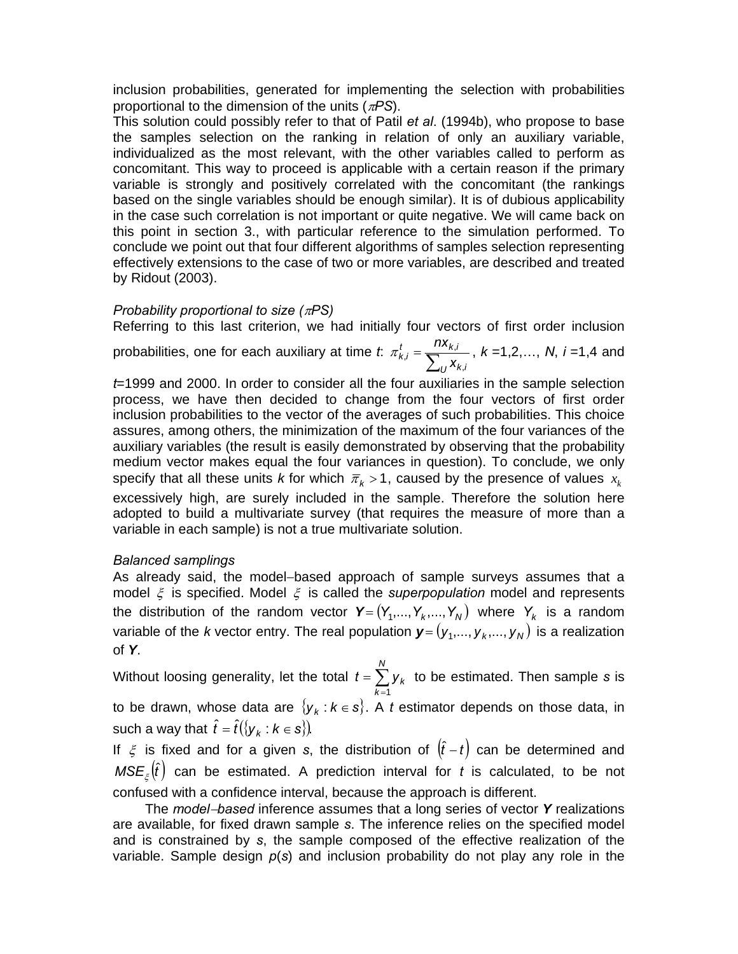inclusion probabilities, generated for implementing the selection with probabilities proportional to the dimension of the units (π*PS*).

This solution could possibly refer to that of Patil *et al*. (1994b), who propose to base the samples selection on the ranking in relation of only an auxiliary variable, individualized as the most relevant, with the other variables called to perform as concomitant. This way to proceed is applicable with a certain reason if the primary variable is strongly and positively correlated with the concomitant (the rankings based on the single variables should be enough similar). It is of dubious applicability in the case such correlation is not important or quite negative. We will came back on this point in section 3., with particular reference to the simulation performed. To conclude we point out that four different algorithms of samples selection representing effectively extensions to the case of two or more variables, are described and treated by Ridout (2003).

# *Probability proportional to size (*π*PS)*

Referring to this last criterion, we had initially four vectors of first order inclusion probabilities, one for each auxiliary at time *t*:  $\pi_{k,i}^t = \sum_i$  $U^{\mathcal{A}_{k,i}}$  $\frac{t}{k,i} = \frac{I I X_{k,i}}{\sum_{i} X_i}$ *nx* ,  $\pi_{k,i}^t = \frac{n x_{k,i}}{\sum x_i}, k = 1,2,..., N, i = 1,4$  and

*t*=1999 and 2000. In order to consider all the four auxiliaries in the sample selection process, we have then decided to change from the four vectors of first order inclusion probabilities to the vector of the averages of such probabilities. This choice assures, among others, the minimization of the maximum of the four variances of the auxiliary variables (the result is easily demonstrated by observing that the probability medium vector makes equal the four variances in question). To conclude, we only specify that all these units *k* for which  $\bar{\pi}_k > 1$ , caused by the presence of values  $x_k$ excessively high, are surely included in the sample. Therefore the solution here adopted to build a multivariate survey (that requires the measure of more than a variable in each sample) is not a true multivariate solution.

# *Balanced samplings*

As already said, the model−based approach of sample surveys assumes that a model ξ is specified. Model ξ is called the *superpopulation* model and represents the distribution of the random vector  $Y = (Y_1, ..., Y_k, ..., Y_N)$  where  $Y_k$  is a random variable of the *k* vector entry. The real population  $\boldsymbol{y} = ( y_1, ..., y_k, ..., y_N )$  is a realization of *Y*.

Without loosing generality, let the total  $t = \sum_{k=1}^{\infty}$ = *N k*  $t = \sum y_k$ 1 to be estimated. Then sample *s* is to be drawn, whose data are  $\{y_k : k \in s\}$ . A *t* estimator depends on those data, in such a way that  $\hat{t} = \hat{t}(\{\mathbf{y}_k : k \in \mathbf{s}\})$ .

If  $\xi$  is fixed and for a given *s*, the distribution of  $(\hat{t}-t)$  can be determined and  $\mathsf{MSE}_\xi\big(\hat{t}\big)$  can be estimated. A prediction interval for *t* is calculated, to be not confused with a confidence interval, because the approach is different.

The *model*−*based* inference assumes that a long series of vector *Y* realizations are available, for fixed drawn sample *s*. The inference relies on the specified model and is constrained by *s*, the sample composed of the effective realization of the variable. Sample design *p*(*s*) and inclusion probability do not play any role in the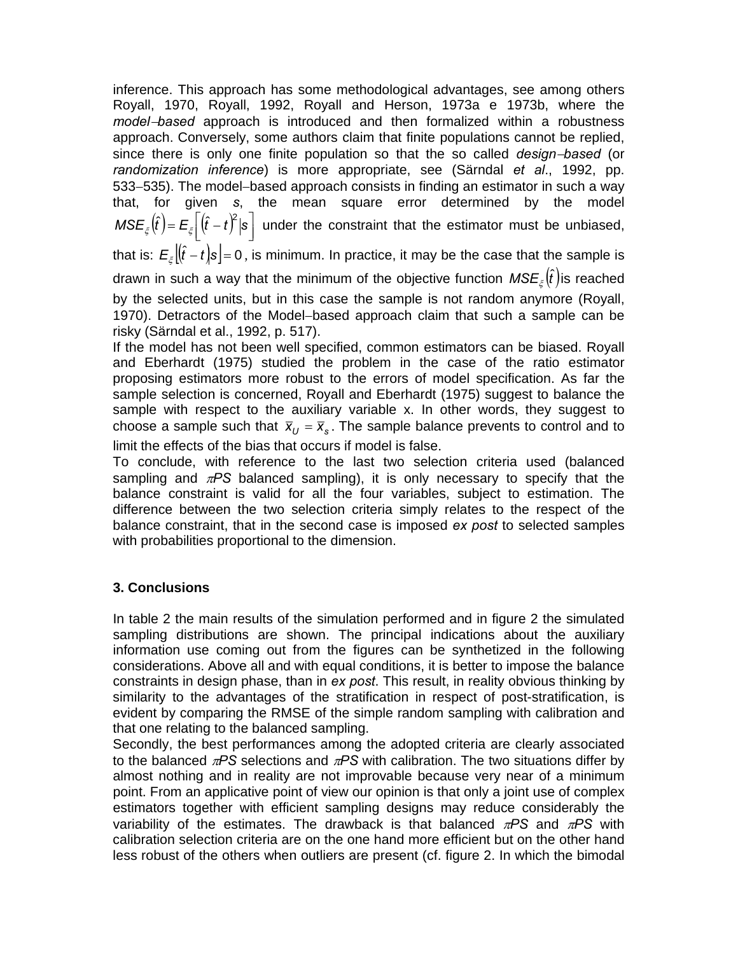inference. This approach has some methodological advantages, see among others Royall, 1970, Royall, 1992, Royall and Herson, 1973a e 1973b, where the *model*−*based* approach is introduced and then formalized within a robustness approach. Conversely, some authors claim that finite populations cannot be replied, since there is only one finite population so that the so called *design*−*based* (or *randomization inference*) is more appropriate, see (Särndal *et al*., 1992, pp. 533−535). The model−based approach consists in finding an estimator in such a way that, for given *s*, the mean square error determined by the model  $MSE_{\xi}\big(\hat{t}\big) = E_{\xi}\bigg[(\hat{t}-t)^2 | \mathbf{s}\bigg]$  under the constraint that the estimator must be unbiased, that is:  $\mathcal{E}_\xi \big[ \hat{t} - t \big]$ s $\big]$ = 0 , is minimum. In practice, it may be the case that the sample is drawn in such a way that the minimum of the objective function  $MSE_{\varepsilon}(\hat{t})$  is reached by the selected units, but in this case the sample is not random anymore (Royall, 1970). Detractors of the Model−based approach claim that such a sample can be risky (Särndal et al., 1992, p. 517).

If the model has not been well specified, common estimators can be biased. Royall and Eberhardt (1975) studied the problem in the case of the ratio estimator proposing estimators more robust to the errors of model specification. As far the sample selection is concerned, Royall and Eberhardt (1975) suggest to balance the sample with respect to the auxiliary variable x. In other words, they suggest to choose a sample such that  $\bar{x}_U = \bar{x}_s$ . The sample balance prevents to control and to limit the effects of the bias that occurs if model is false.

To conclude, with reference to the last two selection criteria used (balanced sampling and π*PS* balanced sampling), it is only necessary to specify that the balance constraint is valid for all the four variables, subject to estimation. The difference between the two selection criteria simply relates to the respect of the balance constraint, that in the second case is imposed *ex post* to selected samples with probabilities proportional to the dimension.

# **3. Conclusions**

In table 2 the main results of the simulation performed and in figure 2 the simulated sampling distributions are shown. The principal indications about the auxiliary information use coming out from the figures can be synthetized in the following considerations. Above all and with equal conditions, it is better to impose the balance constraints in design phase, than in *ex post*. This result, in reality obvious thinking by similarity to the advantages of the stratification in respect of post-stratification, is evident by comparing the RMSE of the simple random sampling with calibration and that one relating to the balanced sampling.

Secondly, the best performances among the adopted criteria are clearly associated to the balanced π*PS* selections and π*PS* with calibration. The two situations differ by almost nothing and in reality are not improvable because very near of a minimum point. From an applicative point of view our opinion is that only a joint use of complex estimators together with efficient sampling designs may reduce considerably the variability of the estimates. The drawback is that balanced π*PS* and π*PS* with calibration selection criteria are on the one hand more efficient but on the other hand less robust of the others when outliers are present (cf. figure 2. In which the bimodal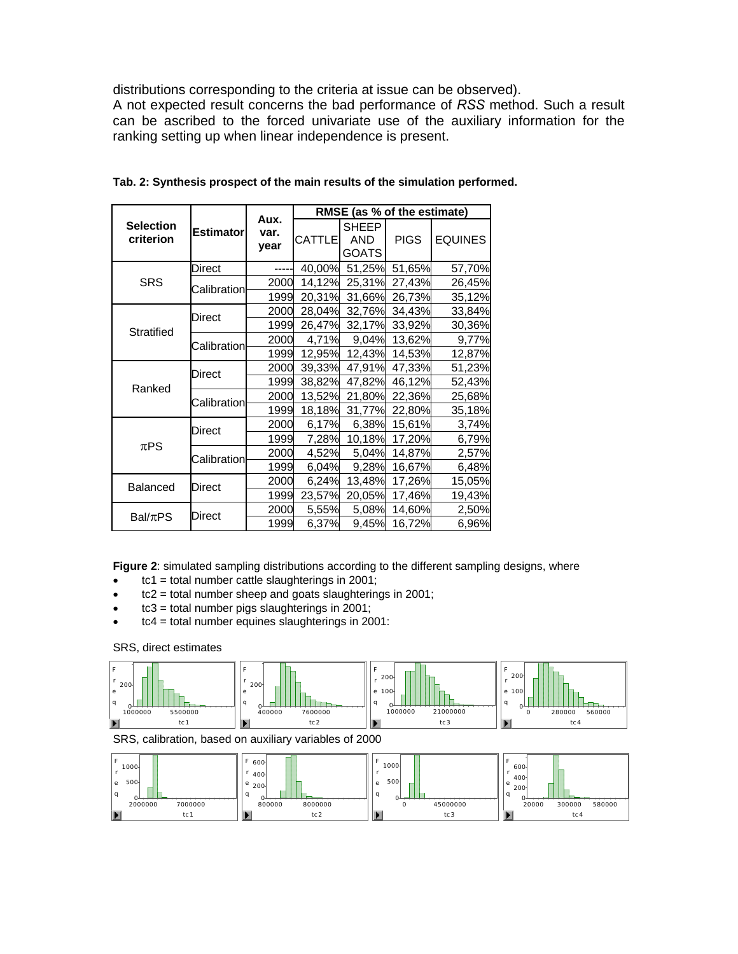distributions corresponding to the criteria at issue can be observed).

A not expected result concerns the bad performance of *RSS* method. Such a result can be ascribed to the forced univariate use of the auxiliary information for the ranking setting up when linear independence is present.

| <b>Selection</b><br>criterion | <b>Estimator</b> | Aux.<br>var.<br>year | RMSE (as % of the estimate) |                                     |             |                |
|-------------------------------|------------------|----------------------|-----------------------------|-------------------------------------|-------------|----------------|
|                               |                  |                      | <b>CATTLE</b>               | <b>SHEEP</b><br><b>AND</b><br>GOATS | <b>PIGS</b> | <b>EQUINES</b> |
| <b>SRS</b>                    | Direct           |                      | 40,00%                      | 51,25%                              | 51,65%      | 57,70%         |
|                               | Calibration      | 2000                 | 14,12%                      | 25,31%                              | 27,43%      | 26,45%         |
|                               |                  | 1999                 | 20,31%                      | 31,66%                              | 26,73%      | 35,12%         |
| <b>Stratified</b>             | Direct           | 2000                 | 28,04%                      | 32,76%                              | 34,43%      | 33,84%         |
|                               |                  | 1999                 | 26,47%                      | 32,17%                              | 33,92%      | 30,36%         |
|                               | Calibration      | 2000                 | 4,71%                       | 9,04%                               | 13,62%      | 9,77%          |
|                               |                  | 1999                 | 12,95%                      | 12,43%                              | 14,53%      | 12,87%         |
| Ranked                        | Direct           | 2000                 | 39,33%                      | 47,91%                              | 47,33%      | 51,23%         |
|                               |                  | 1999                 | 38,82%                      | 47,82%                              | 46,12%      | 52,43%         |
|                               | Calibration      | 2000                 | 13,52%                      | 21,80%                              | 22,36%      | 25,68%         |
|                               |                  | 1999                 | 18,18%                      | 31,77%                              | 22,80%      | 35,18%         |
| $\pi$ PS                      | Direct           | 2000                 | 6,17%                       | 6,38%                               | 15,61%      | 3,74%          |
|                               |                  | 1999                 | 7,28%                       | 10,18%                              | 17,20%      | 6,79%          |
|                               | Calibration      | 2000                 | 4,52%                       | 5,04%                               | 14,87%      | 2,57%          |
|                               |                  | 1999                 | 6,04%                       | 9,28%                               | 16,67%      | 6,48%          |
| <b>Balanced</b>               | Direct           | 2000                 | 6,24%                       | 13,48%                              | 17,26%      | 15,05%         |
|                               |                  | 1999                 | 23,57%                      | 20,05%                              | 17,46%      | 19,43%         |
| $Bal/\pi PS$                  | Direct           | 2000                 | 5,55%                       | 5,08%                               | 14,60%      | 2,50%          |
|                               |                  | 1999                 | 6,37%                       | 9,45%                               | 16,72%      | 6,96%          |

**Tab. 2: Synthesis prospect of the main results of the simulation performed.** 

**Figure 2**: simulated sampling distributions according to the different sampling designs, where

- tc1 = total number cattle slaughterings in 2001;
- $\bullet$  tc2 = total number sheep and goats slaughterings in 2001;
- $\bullet$  tc3 = total number pigs slaughterings in 2001;
- tc4 = total number equines slaughterings in 2001:

#### SRS, direct estimates

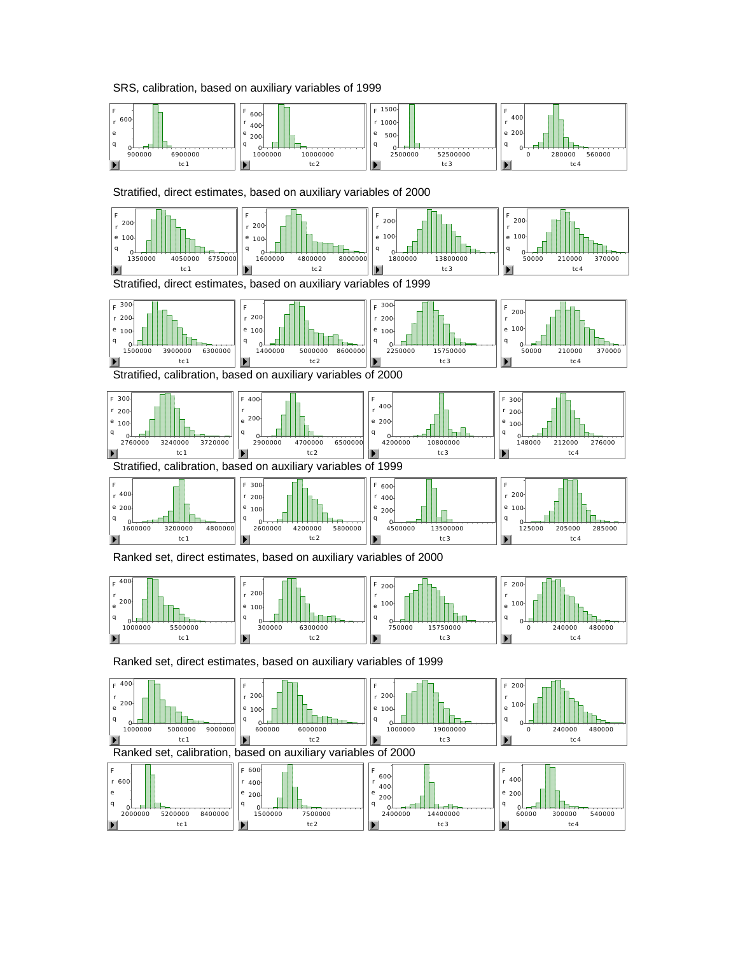#### SRS, calibration, based on auxiliary variables of 1999



Stratified, direct estimates, based on auxiliary variables of 2000



Stratified, direct estimates, based on auxiliary variables of 1999



Stratified, calibration, based on auxiliary variables of 2000



Ranked set, direct estimates, based on auxiliary variables of 2000



Ranked set, direct estimates, based on auxiliary variables of 1999

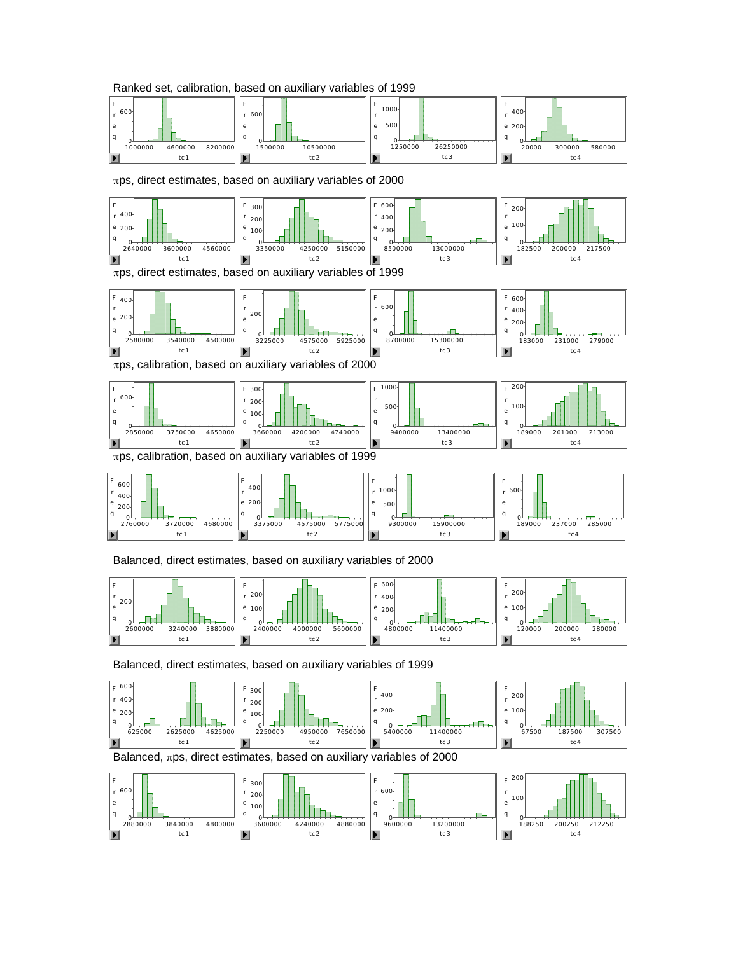



 $\pi$ ps, direct estimates, based on auxiliary variables of 2000



#### Balanced, direct estimates, based on auxiliary variables of 2000



Balanced, direct estimates, based on auxiliary variables of 1999